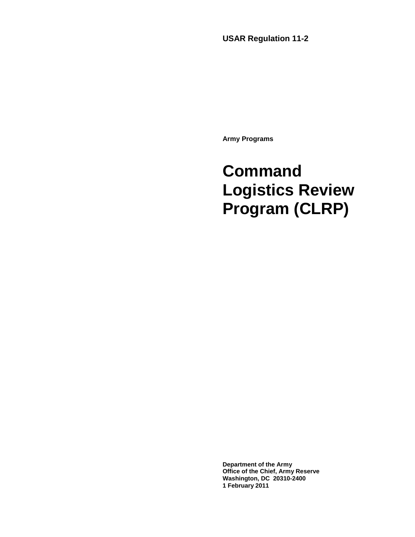**USAR Regulation 11-2** 

**Army Programs**

# **Command Logistics Review Program (CLRP)**

**Department of the Army Office of the Chief, Army Reserve Washington, DC 20310-2400 1 February 2011**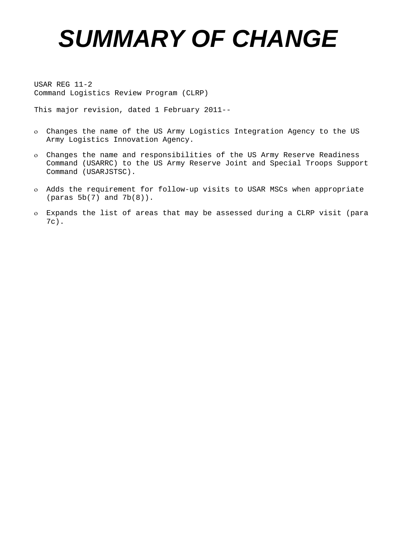# *SUMMARY OF CHANGE*

USAR REG 11-2 Command Logistics Review Program (CLRP)

This major revision, dated 1 February 2011--

- ο Changes the name of the US Army Logistics Integration Agency to the US Army Logistics Innovation Agency.
- ο Changes the name and responsibilities of the US Army Reserve Readiness Command (USARRC) to the US Army Reserve Joint and Special Troops Support Command (USARJSTSC).
- ο Adds the requirement for follow-up visits to USAR MSCs when appropriate (paras 5b(7) and 7b(8)).
- ο Expands the list of areas that may be assessed during a CLRP visit (para 7c).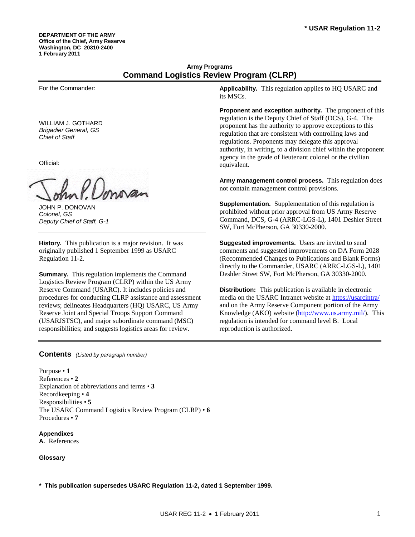**DEPARTMENT OF THE ARMY Office of the Chief, Army Reserve Washington, DC 20310-2400 1 February 2011** 

# **Army Programs Command Logistics Review Program (CLRP)**

For the Commander:

WILLIAM J. GOTHARD *Brigadier General, GS Chief of Staff*

Official:

nam

JOHN P. DONOVAN *Colonel, GS Deputy Chief of Staff, G-1* 

**History.** This publication is a major revision. It was originally published 1 September 1999 as USARC Regulation 11-2.

**Summary.** This regulation implements the Command Logistics Review Program (CLRP) within the US Army Reserve Command (USARC). It includes policies and procedures for conducting CLRP assistance and assessment reviews; delineates Headquarters (HQ) USARC, US Army Reserve Joint and Special Troops Support Command (USARJSTSC), and major subordinate command (MSC) responsibilities; and suggests logistics areas for review.

**Applicability.** This regulation applies to HQ USARC and its MSCs.

**Proponent and exception authority.** The proponent of this regulation is the Deputy Chief of Staff (DCS), G-4. The proponent has the authority to approve exceptions to this regulation that are consistent with controlling laws and regulations. Proponents may delegate this approval authority, in writing, to a division chief within the proponent agency in the grade of lieutenant colonel or the civilian equivalent.

**Army management control process.** This regulation does not contain management control provisions.

**Supplementation.** Supplementation of this regulation is prohibited without prior approval from US Army Reserve Command, DCS, G-4 (ARRC-LGS-L), 1401 Deshler Street SW, Fort McPherson, GA 30330-2000.

**Suggested improvements.** Users are invited to send comments and suggested improvements on DA Form 2028 (Recommended Changes to Publications and Blank Forms) directly to the Commander, USARC (ARRC-LGS-L), 1401 Deshler Street SW, Fort McPherson, GA 30330-2000.

**Distribution:** This publication is available in electronic media on the USARC Intranet website at<https://usarcintra/> and on the Army Reserve Component portion of the Army Knowledge (AKO) website [\(http://www.us.army.mil/\)](http://www.us.army.mil/). This regulation is intended for command level B. Local reproduction is authorized.

#### **Contents** *(Listed by paragraph number)*

Purpose • **1** References • **2**  Explanation of abbreviations and terms • **3**  Recordkeeping • **4** Responsibilities • **5**  The USARC Command Logistics Review Program (CLRP) • **6**  Procedures • **7**

**Appendixes A.** References

#### **Glossary**

**\* This publication supersedes USARC Regulation 11-2, dated 1 September 1999.**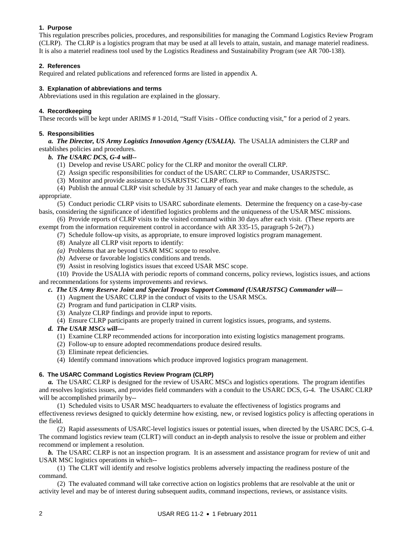#### **1. Purpose**

This regulation prescribes policies, procedures, and responsibilities for managing the Command Logistics Review Program (CLRP). The CLRP is a logistics program that may be used at all levels to attain, sustain, and manage materiel readiness. It is also a materiel readiness tool used by the Logistics Readiness and Sustainability Program (see AR 700-138).

#### **2. References**

Required and related publications and referenced forms are listed in appendix A.

#### **3. Explanation of abbreviations and terms**

Abbreviations used in this regulation are explained in the glossary.

#### **4. Recordkeeping**

These records will be kept under ARIMS # 1-201d, "Staff Visits - Office conducting visit," for a period of 2 years.

#### **5. Responsibilities**

*a. The Director, US Army Logistics Innovation Agency (USALIA).* The USALIA administers the CLRP and establishes policies and procedures.

- *b. The USARC DCS, G-4 will--*
	- (1) Develop and revise USARC policy for the CLRP and monitor the overall CLRP.
	- (2) Assign specific responsibilities for conduct of the USARC CLRP to Commander, USARJSTSC.
	- (3) Monitor and provide assistance to USARJSTSC CLRP efforts.

 (4) Publish the annual CLRP visit schedule by 31 January of each year and make changes to the schedule, as appropriate.

 (5) Conduct periodic CLRP visits to USARC subordinate elements. Determine the frequency on a case-by-case basis, considering the significance of identified logistics problems and the uniqueness of the USAR MSC missions.

 (6) Provide reports of CLRP visits to the visited command within 30 days after each visit. (These reports are exempt from the information requirement control in accordance with AR 335-15, paragraph 5-2e(7).)

- (7) Schedule follow-up visits, as appropriate, to ensure improved logistics program management.
	- (8) Analyze all CLRP visit reports to identify:
	- *(a)* Problems that are beyond USAR MSC scope to resolve.
	- *(b)* Adverse or favorable logistics conditions and trends.
	- (9) Assist in resolving logistics issues that exceed USAR MSC scope.

 (10) Provide the USALIA with periodic reports of command concerns, policy reviews, logistics issues, and actions and recommendations for systems improvements and reviews.

#### *c. The US Army Reserve Joint and Special Troops Support Command (USARJSTSC) Commander will—*

- (1) Augment the USARC CLRP in the conduct of visits to the USAR MSCs.
- (2) Program and fund participation in CLRP visits.
- (3) Analyze CLRP findings and provide input to reports.
- (4) Ensure CLRP participants are properly trained in current logistics issues, programs, and systems.

#### *d. The USAR MSCs will—*

- (1) Examine CLRP recommended actions for incorporation into existing logistics management programs.
- (2) Follow-up to ensure adopted recommendations produce desired results.
- (3) Eliminate repeat deficiencies.
- (4) Identify command innovations which produce improved logistics program management.

#### **6. The USARC Command Logistics Review Program (CLRP)**

*a.* The USARC CLRP is designed for the review of USARC MSCs and logistics operations. The program identifies and resolves logistics issues, and provides field commanders with a conduit to the USARC DCS, G-4. The USARC CLRP will be accomplished primarily by--

 (1) Scheduled visits to USAR MSC headquarters to evaluate the effectiveness of logistics programs and effectiveness reviews designed to quickly determine how existing, new, or revised logistics policy is affecting operations in the field.

 (2) Rapid assessments of USARC-level logistics issues or potential issues, when directed by the USARC DCS, G-4. The command logistics review team (CLRT) will conduct an in-depth analysis to resolve the issue or problem and either recommend or implement a resolution.

*b.* The USARC CLRP is not an inspection program. It is an assessment and assistance program for review of unit and USAR MSC logistics operations in which--

 (1) The CLRT will identify and resolve logistics problems adversely impacting the readiness posture of the command.

 (2) The evaluated command will take corrective action on logistics problems that are resolvable at the unit or activity level and may be of interest during subsequent audits, command inspections, reviews, or assistance visits.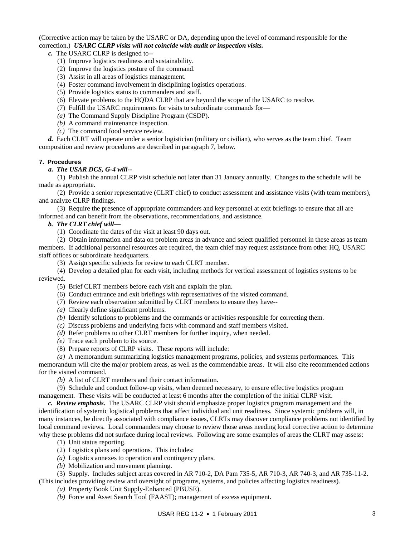(Corrective action may be taken by the USARC or DA, depending upon the level of command responsible for the correction.) *USARC CLRP visits will not coincide with audit or inspection visits.*

*c.* The USARC CLRP is designed to--

- (1) Improve logistics readiness and sustainability.
- (2) Improve the logistics posture of the command.
- (3) Assist in all areas of logistics management.
- (4) Foster command involvement in disciplining logistics operations.
- (5) Provide logistics status to commanders and staff.
- (6) Elevate problems to the HQDA CLRP that are beyond the scope of the USARC to resolve.
- (7) Fulfill the USARC requirements for visits to subordinate commands for—
- *(a)* The Command Supply Discipline Program (CSDP).
- *(b)* A command maintenance inspection.
- *(c)* The command food service review.

*d.* Each CLRT will operate under a senior logistician (military or civilian), who serves as the team chief. Team composition and review procedures are described in paragraph 7, below.

#### **7. Procedures**

#### *a. The USAR DCS, G-4 will--*

 (1) Publish the annual CLRP visit schedule not later than 31 January annually. Changes to the schedule will be made as appropriate.

 (2) Provide a senior representative (CLRT chief) to conduct assessment and assistance visits (with team members), and analyze CLRP findings.

 (3) Require the presence of appropriate commanders and key personnel at exit briefings to ensure that all are informed and can benefit from the observations, recommendations, and assistance.

#### *b. The CLRT chief will—*

(1) Coordinate the dates of the visit at least 90 days out.

 (2) Obtain information and data on problem areas in advance and select qualified personnel in these areas as team members. If additional personnel resources are required, the team chief may request assistance from other HQ, USARC staff offices or subordinate headquarters.

- (3) Assign specific subjects for review to each CLRT member.
- (4) Develop a detailed plan for each visit, including methods for vertical assessment of logistics systems to be reviewed.
	- (5) Brief CLRT members before each visit and explain the plan.
	- (6) Conduct entrance and exit briefings with representatives of the visited command.
	- (7) Review each observation submitted by CLRT members to ensure they have--
	- *(a)* Clearly define significant problems.
	- *(b)* Identify solutions to problems and the commands or activities responsible for correcting them.
	- *(c)* Discuss problems and underlying facts with command and staff members visited.
	- *(d)* Refer problems to other CLRT members for further inquiry, when needed.
	- *(e)* Trace each problem to its source.
	- (8) Prepare reports of CLRP visits. These reports will include:

 *(a)* A memorandum summarizing logistics management programs, policies, and systems performances. This memorandum will cite the major problem areas, as well as the commendable areas. It will also cite recommended actions for the visited command.

*(b)* A list of CLRT members and their contact information.

(9) Schedule and conduct follow-up visits, when deemed necessary, to ensure effective logistics program

management. These visits will be conducted at least 6 months after the completion of the initial CLRP visit.

*c. Review emphasis.* The USARC CLRP visit should emphasize proper logistics program management and the identification of systemic logistical problems that affect individual and unit readiness. Since systemic problems will, in many instances, be directly associated with compliance issues, CLRTs may discover compliance problems not identified by local command reviews. Local commanders may choose to review those areas needing local corrective action to determine why these problems did not surface during local reviews. Following are some examples of areas the CLRT may assess:

- (1) Unit status reporting.
- (2) Logistics plans and operations. This includes:
- *(a)* Logistics annexes to operation and contingency plans.
- *(b)* Mobilization and movement planning.

 (3) Supply. Includes subject areas covered in AR 710-2, DA Pam 735-5, AR 710-3, AR 740-3, and AR 735-11-2. (This includes providing review and oversight of programs, systems, and policies affecting logistics readiness).

*(a)* Property Book Unit Supply-Enhanced (PBUSE).

*(b)* Force and Asset Search Tool (FAAST); management of excess equipment.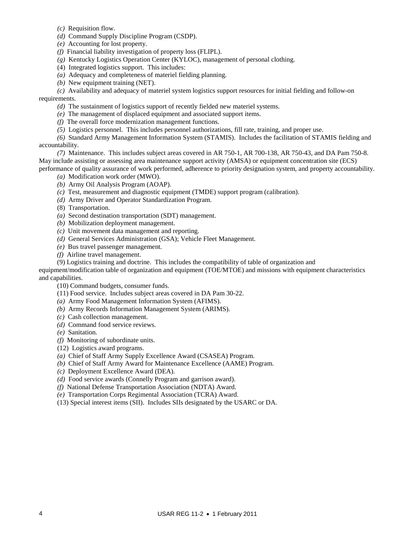- *(c)* Requisition flow.
- *(d)* Command Supply Discipline Program (CSDP).
- *(e)* Accounting for lost property.
- *(f)* Financial liability investigation of property loss (FLIPL).
- *(g)* Kentucky Logistics Operation Center (KYLOC), management of personal clothing.
- (4) Integrated logistics support. This includes:
- *(a)* Adequacy and completeness of materiel fielding planning.
- *(b)* New equipment training (NET).

 *(c)* Availability and adequacy of materiel system logistics support resources for initial fielding and follow-on requirements.

- *(d)* The sustainment of logistics support of recently fielded new materiel systems.
- *(e)* The management of displaced equipment and associated support items.
- *(f)* The overall force modernization management functions.
- *(5)* Logistics personnel. This includes personnel authorizations, fill rate, training, and proper use.

 *(6)* Standard Army Management Information System (STAMIS). Includes the facilitation of STAMIS fielding and accountability.

 *(7)* Maintenance. This includes subject areas covered in AR 750-1, AR 700-138, AR 750-43, and DA Pam 750-8. May include assisting or assessing area maintenance support activity (AMSA) or equipment concentration site (ECS)

performance of quality assurance of work performed, adherence to priority designation system, and property accountability. *(a)* Modification work order (MWO).

- *(b)* Army Oil Analysis Program (AOAP).
- *(c)* Test, measurement and diagnostic equipment (TMDE) support program (calibration).
- *(d)* Army Driver and Operator Standardization Program.
- (8) Transportation.
- *(a)* Second destination transportation (SDT) management.
- *(b)* Mobilization deployment management.
- *(c)* Unit movement data management and reporting.
- *(d)* General Services Administration (GSA); Vehicle Fleet Management.
- *(e)* Bus travel passenger management.
- *(f)* Airline travel management.
- (9) Logistics training and doctrine. This includes the compatibility of table of organization and

equipment/modification table of organization and equipment (TOE/MTOE) and missions with equipment characteristics and capabilities.

(10) Command budgets, consumer funds.

- (11) Food service. Includes subject areas covered in DA Pam 30-22.
- *(a)* Army Food Management Information System (AFIMS).
- *(b)* Army Records Information Management System (ARIMS).
- *(c)* Cash collection management.
- *(d)* Command food service reviews.
- *(e)* Sanitation.
- *(f)* Monitoring of subordinate units.
- (12) Logistics award programs.
- *(a)* Chief of Staff Army Supply Excellence Award (CSASEA) Program.
- *(b)* Chief of Staff Army Award for Maintenance Excellence (AAME) Program.
- *(c)* Deployment Excellence Award (DEA).
- *(d)* Food service awards (Connelly Program and garrison award).
- *(f)* National Defense Transportation Association (NDTA) Award.
- *(e)* Transportation Corps Regimental Association (TCRA) Award.
- (13) Special interest items (SII). Includes SIIs designated by the USARC or DA.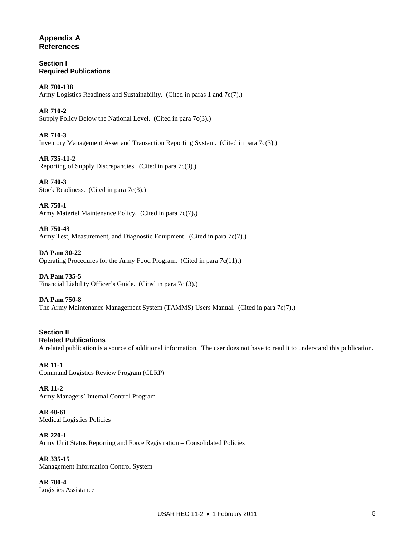## **Appendix A References**

**Section I Required Publications**

**AR 700-138** Army Logistics Readiness and Sustainability. (Cited in paras 1 and 7c(7).)

**AR 710-2**  Supply Policy Below the National Level. (Cited in para 7c(3).)

**AR 710-3**  Inventory Management Asset and Transaction Reporting System. (Cited in para 7c(3).)

**AR 735-11-2**  Reporting of Supply Discrepancies. (Cited in para 7c(3).)

**AR 740-3**  Stock Readiness. (Cited in para 7c(3).)

**AR 750-1**  Army Materiel Maintenance Policy. (Cited in para 7c(7).)

**AR 750-43** Army Test, Measurement, and Diagnostic Equipment. (Cited in para 7c(7).)

**DA Pam 30-22** Operating Procedures for the Army Food Program. (Cited in para 7c(11).)

**DA Pam 735-5**  Financial Liability Officer's Guide. (Cited in para 7c (3).)

**DA Pam 750-8**  The Army Maintenance Management System (TAMMS) Users Manual. (Cited in para 7c(7).)

**Section II Related Publications** A related publication is a source of additional information. The user does not have to read it to understand this publication.

**AR 11-1**  Command Logistics Review Program (CLRP)

**AR 11-2**  Army Managers' Internal Control Program

**AR 40-61** Medical Logistics Policies

**AR 220-1**  Army Unit Status Reporting and Force Registration – Consolidated Policies

**AR 335-15** Management Information Control System

**AR 700-4**  Logistics Assistance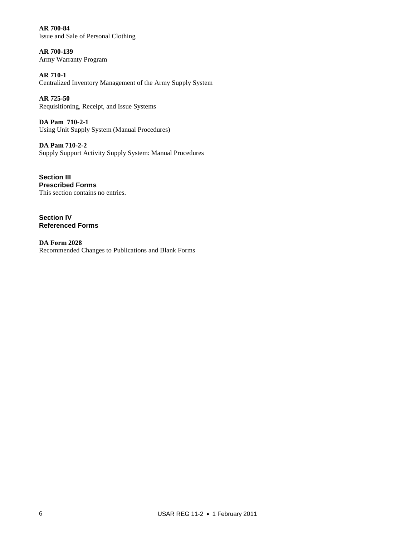**AR 700-84** Issue and Sale of Personal Clothing

**AR 700-139**  Army Warranty Program

**AR 710-1**  Centralized Inventory Management of the Army Supply System

**AR 725-50** Requisitioning, Receipt, and Issue Systems

**DA Pam 710-2-1**  Using Unit Supply System (Manual Procedures)

**DA Pam 710-2-2**  Supply Support Activity Supply System: Manual Procedures

**Section III Prescribed Forms** This section contains no entries.

**Section IV Referenced Forms**

**DA Form 2028** Recommended Changes to Publications and Blank Forms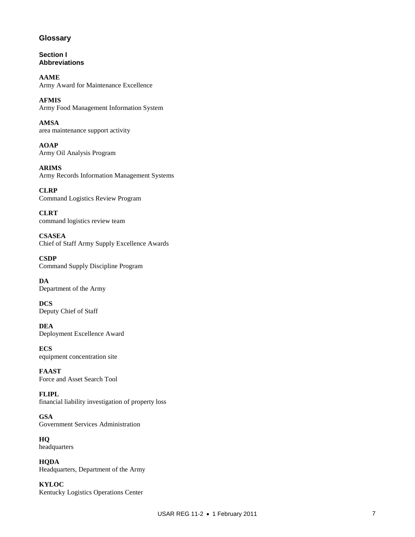## **Glossary**

**Section I Abbreviations**

**AAME**  Army Award for Maintenance Excellence

**AFMIS**  Army Food Management Information System

**AMSA** area maintenance support activity

**AOAP** Army Oil Analysis Program

**ARIMS** Army Records Information Management Systems

**CLRP** Command Logistics Review Program

**CLRT** command logistics review team

**CSASEA** Chief of Staff Army Supply Excellence Awards

**CSDP** Command Supply Discipline Program

**DA** Department of the Army

**DCS** Deputy Chief of Staff

**DEA** Deployment Excellence Award

**ECS** equipment concentration site

**FAAST** Force and Asset Search Tool

**FLIPL** financial liability investigation of property loss

**GSA** Government Services Administration

**HQ** headquarters

**HQDA** Headquarters, Department of the Army

**KYLOC** Kentucky Logistics Operations Center